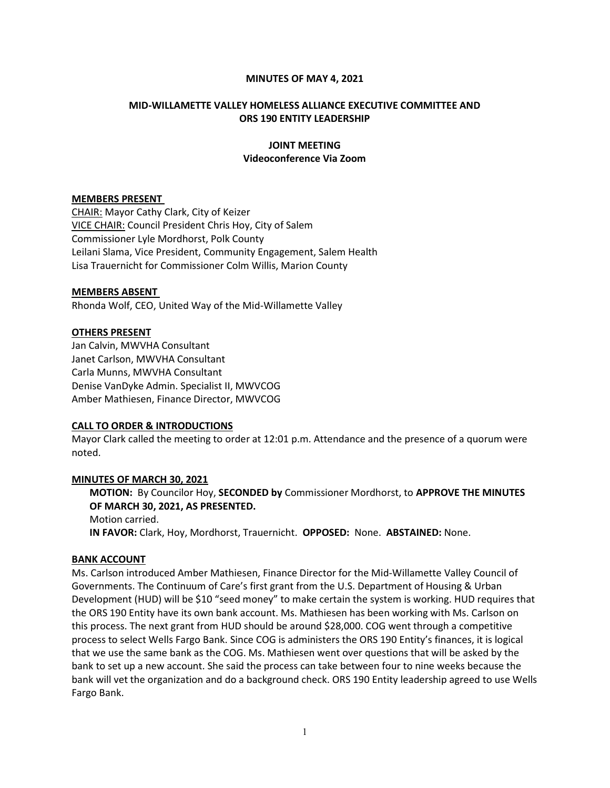### MINUTES OF MAY 4, 2021

## MID-WILLAMETTE VALLEY HOMELESS ALLIANCE EXECUTIVE COMMITTEE AND ORS 190 ENTITY LEADERSHIP

## JOINT MEETING Videoconference Via Zoom

#### MEMBERS PRESENT

CHAIR: Mayor Cathy Clark, City of Keizer VICE CHAIR: Council President Chris Hoy, City of Salem Commissioner Lyle Mordhorst, Polk County Leilani Slama, Vice President, Community Engagement, Salem Health Lisa Trauernicht for Commissioner Colm Willis, Marion County

### MEMBERS ABSENT

Rhonda Wolf, CEO, United Way of the Mid-Willamette Valley

### OTHERS PRESENT

Jan Calvin, MWVHA Consultant Janet Carlson, MWVHA Consultant Carla Munns, MWVHA Consultant Denise VanDyke Admin. Specialist II, MWVCOG Amber Mathiesen, Finance Director, MWVCOG

## CALL TO ORDER & INTRODUCTIONS

Mayor Clark called the meeting to order at 12:01 p.m. Attendance and the presence of a quorum were noted.

## MINUTES OF MARCH 30, 2021

MOTION: By Councilor Hoy, SECONDED by Commissioner Mordhorst, to APPROVE THE MINUTES OF MARCH 30, 2021, AS PRESENTED. Motion carried. IN FAVOR: Clark, Hoy, Mordhorst, Trauernicht. OPPOSED: None. ABSTAINED: None.

#### BANK ACCOUNT

Ms. Carlson introduced Amber Mathiesen, Finance Director for the Mid-Willamette Valley Council of Governments. The Continuum of Care's first grant from the U.S. Department of Housing & Urban Development (HUD) will be \$10 "seed money" to make certain the system is working. HUD requires that the ORS 190 Entity have its own bank account. Ms. Mathiesen has been working with Ms. Carlson on this process. The next grant from HUD should be around \$28,000. COG went through a competitive process to select Wells Fargo Bank. Since COG is administers the ORS 190 Entity's finances, it is logical that we use the same bank as the COG. Ms. Mathiesen went over questions that will be asked by the bank to set up a new account. She said the process can take between four to nine weeks because the bank will vet the organization and do a background check. ORS 190 Entity leadership agreed to use Wells Fargo Bank.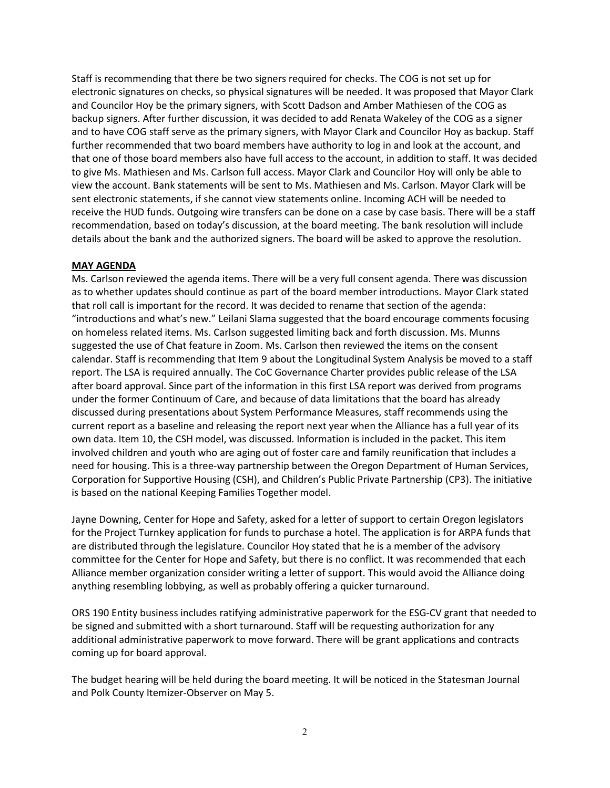Staff is recommending that there be two signers required for checks. The COG is not set up for electronic signatures on checks, so physical signatures will be needed. It was proposed that Mayor Clark and Councilor Hoy be the primary signers, with Scott Dadson and Amber Mathiesen of the COG as backup signers. After further discussion, it was decided to add Renata Wakeley of the COG as a signer and to have COG staff serve as the primary signers, with Mayor Clark and Councilor Hoy as backup. Staff further recommended that two board members have authority to log in and look at the account, and that one of those board members also have full access to the account, in addition to staff. It was decided to give Ms. Mathiesen and Ms. Carlson full access. Mayor Clark and Councilor Hoy will only be able to view the account. Bank statements will be sent to Ms. Mathiesen and Ms. Carlson. Mayor Clark will be sent electronic statements, if she cannot view statements online. Incoming ACH will be needed to receive the HUD funds. Outgoing wire transfers can be done on a case by case basis. There will be a staff recommendation, based on today's discussion, at the board meeting. The bank resolution will include details about the bank and the authorized signers. The board will be asked to approve the resolution.

## MAY AGENDA

Ms. Carlson reviewed the agenda items. There will be a very full consent agenda. There was discussion as to whether updates should continue as part of the board member introductions. Mayor Clark stated that roll call is important for the record. It was decided to rename that section of the agenda: "introductions and what's new." Leilani Slama suggested that the board encourage comments focusing on homeless related items. Ms. Carlson suggested limiting back and forth discussion. Ms. Munns suggested the use of Chat feature in Zoom. Ms. Carlson then reviewed the items on the consent calendar. Staff is recommending that Item 9 about the Longitudinal System Analysis be moved to a staff report. The LSA is required annually. The CoC Governance Charter provides public release of the LSA after board approval. Since part of the information in this first LSA report was derived from programs under the former Continuum of Care, and because of data limitations that the board has already discussed during presentations about System Performance Measures, staff recommends using the current report as a baseline and releasing the report next year when the Alliance has a full year of its own data. Item 10, the CSH model, was discussed. Information is included in the packet. This item involved children and youth who are aging out of foster care and family reunification that includes a need for housing. This is a three-way partnership between the Oregon Department of Human Services, Corporation for Supportive Housing (CSH), and Children's Public Private Partnership (CP3). The initiative is based on the national Keeping Families Together model.

Jayne Downing, Center for Hope and Safety, asked for a letter of support to certain Oregon legislators for the Project Turnkey application for funds to purchase a hotel. The application is for ARPA funds that are distributed through the legislature. Councilor Hoy stated that he is a member of the advisory committee for the Center for Hope and Safety, but there is no conflict. It was recommended that each Alliance member organization consider writing a letter of support. This would avoid the Alliance doing anything resembling lobbying, as well as probably offering a quicker turnaround.

ORS 190 Entity business includes ratifying administrative paperwork for the ESG-CV grant that needed to be signed and submitted with a short turnaround. Staff will be requesting authorization for any additional administrative paperwork to move forward. There will be grant applications and contracts coming up for board approval.

The budget hearing will be held during the board meeting. It will be noticed in the Statesman Journal and Polk County Itemizer-Observer on May 5.